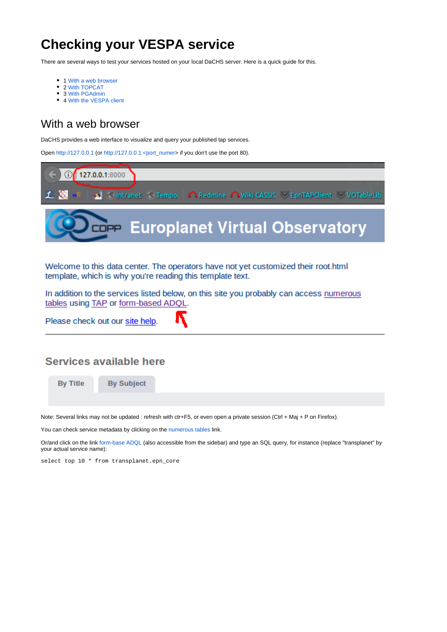# **Checking your VESPA service**

There are several ways to test your services hosted on your local DaCHS server. Here is a quick guide for this.

- 1 [With a web browser](#page-0-0)
- 2 [With TOPCAT](#page-1-0)
- 3 [With PGAdmin](#page-5-0)
- 4 [With the VESPA client](#page-6-0)

### <span id="page-0-0"></span>With a web browser

DaCHS provides a web interface to visualize and query your published tap services.

Open <http://127.0.0.1> (or http://127.0.0.1:<port\_numer> if you don't use the port 80).

| $\left( 6 \right) 0$ 127.0.0.1:8000                                                    |  |
|----------------------------------------------------------------------------------------|--|
| L C wR   on   C Intranet   Tempo   A Redmine A Wiki CASSIS   EpnTAPClient   VOTableLib |  |
| <b>Deapy Europlanet Virtual Observatory</b>                                            |  |
|                                                                                        |  |

Welcome to this data center. The operators have not yet customized their root.html template, which is why you're reading this template text.

In addition to the services listed below, on this site you probably can access numerous tables using TAP or form-based ADQL.

Please check out our site help.

#### **Services available here**

**By Title** 

**By Subject** 

Note: Several links may not be updated : refresh with ctr+F5, or even open a private session (Ctrl + Maj + P on Firefox).

You can check service metadata by clicking on the [numerous tables](https://voparis-confluence.obspm.fr/pages/127.0.0.1/__system__/dc_tables/list/form) link.

Or/and click on the link [form-base ADQL](http://localhost/__system__/adql/query/form) (also accessible from the sidebar) and type an SQL query, for instance (replace "transplanet" by your actual service name):

select top 10 \* from transplanet.epn\_core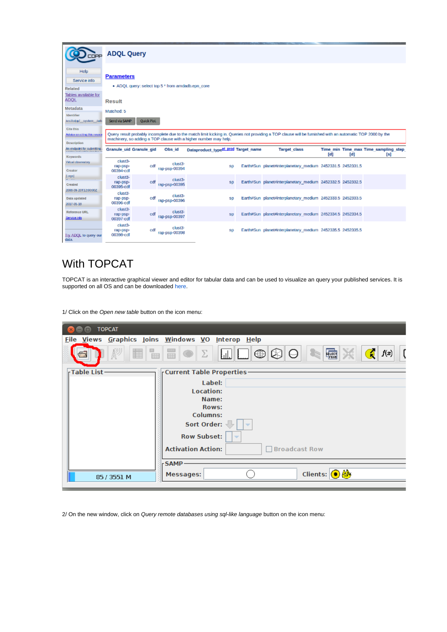|                                                         | <b>ADQL Query</b>                                                      |            |                          |                                                 |  |                                                                                                                                                            |                     |     |                                      |
|---------------------------------------------------------|------------------------------------------------------------------------|------------|--------------------------|-------------------------------------------------|--|------------------------------------------------------------------------------------------------------------------------------------------------------------|---------------------|-----|--------------------------------------|
| Help<br>Service info<br>Related<br>Tables available for | <b>Parameters</b><br>• ADQL query: select top 5 * from amdadb.epn_core |            |                          |                                                 |  |                                                                                                                                                            |                     |     |                                      |
| <b>ADOL</b>                                             | <b>Result</b>                                                          |            |                          |                                                 |  |                                                                                                                                                            |                     |     |                                      |
| Metadata                                                | Matched: 5                                                             |            |                          |                                                 |  |                                                                                                                                                            |                     |     |                                      |
| Identifier<br>ivo://cdpp/ system Jarle                  | Send via SAMP                                                          | Quick Plot |                          |                                                 |  |                                                                                                                                                            |                     |     |                                      |
| Cite this                                               |                                                                        |            |                          |                                                 |  |                                                                                                                                                            |                     |     |                                      |
| Advice on cring this resour                             |                                                                        |            |                          |                                                 |  | Query result probably incomplete due to the match limit kicking in. Queries not providing a TOP clause will be furnished with an automatic TOP 2000 by the |                     |     |                                      |
|                                                         | machinery, so adding a TOP clause with a higher number may help.       |            |                          |                                                 |  |                                                                                                                                                            |                     |     |                                      |
| <b>Description</b>                                      |                                                                        |            |                          |                                                 |  |                                                                                                                                                            |                     |     |                                      |
| An endpoint for submiting.                              | Granule uid Granule gid                                                |            | Obs id                   | Dataproduct type <sup>et</sup> prod Target name |  | <b>Target class</b>                                                                                                                                        |                     |     | Time min Time max Time sampling step |
| <b>Keywords</b><br>Virtual observatory<br>Creator       | clust3-<br>rap-psp-<br>00394-cdf                                       | cdf        | clust3-<br>rap-psp-00394 | SD                                              |  | Earth#Sun planet#interplanetary medium 2452331.5 2452331.5                                                                                                 | $\lbrack d \rbrack$ | [d] | [s]                                  |
| [Logo]<br>.<br>Created                                  | clust3-<br>rap-psp-<br>00395-cdf                                       | cdf        | clust3-<br>rap-psp-00395 | SD                                              |  | Earth//Sun planet//interplanetary medium 2452332.5 2452332.5                                                                                               |                     |     |                                      |
| 2008-09-20112:00:002<br>Data updated<br>2017-05-10      | clust3-<br>rap-psp-<br>00396-cdf                                       | cdf        | clust3-<br>rap-psp-00396 | SD                                              |  | Earth#Sun planet#interplanetary medium 2452333.5 2452333.5                                                                                                 |                     |     |                                      |
| Reference URL<br>Service info                           | clust3-<br>rap-psp-<br>00397-cdf                                       | cdf        | clust3-<br>rap-psp-00397 | <b>SD</b>                                       |  | Earth#Sun planet#interplanetary medium 2452334.5 2452334.5                                                                                                 |                     |     |                                      |

## <span id="page-1-0"></span>With TOPCAT

TOPCAT is an interactive graphical viewer and editor for tabular data and can be used to visualize an query your published services. It is supported on all OS and can be downloaded [here](http://www.star.bris.ac.uk/%7Embt/topcat/#install).

1/ Click on the Open new table button on the icon menu:

| <b>TOPCAT</b>   |                                                                                                                                  |
|-----------------|----------------------------------------------------------------------------------------------------------------------------------|
|                 | Eile Views Graphics Joins Windows VO Interop Help                                                                                |
| l Tes<br>睴<br>₩ | $\ \mathbf{\oplus}\mathbf{\boxtimes}\mathbf{\boxminus}\mathbf{\ominus}\ $<br>FROM<br>$\frac{1}{100}$<br>f(x)<br>7<br>Σ<br>ETTI F |
| -Table List-    | <b>Current Table Properties-</b>                                                                                                 |
|                 | Label:                                                                                                                           |
|                 | Location:                                                                                                                        |
|                 | Name:                                                                                                                            |
|                 | Rows:<br>Columns:                                                                                                                |
|                 | Sort Order:<br>$\overline{\mathbf{v}}$                                                                                           |
|                 | <b>Row Subset:</b><br>$\overline{\phantom{a}}$                                                                                   |
|                 | <b>Activation Action:</b><br><b>Broadcast Row</b>                                                                                |
|                 | -SAMP-                                                                                                                           |
| 85 / 3551 M     | Clients: $\bigcirc$ $\bigcirc$<br><b>Messages:</b>                                                                               |
|                 |                                                                                                                                  |

2/ On the new window, click on Query remote databases using sql-like language button on the icon menu: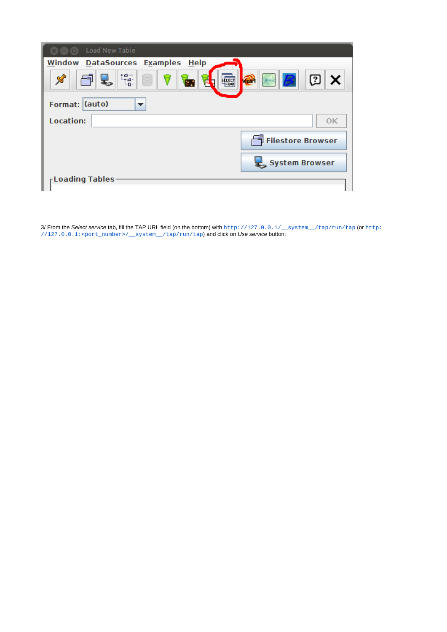| <b>CO CO</b> Load New Table                                                                         |
|-----------------------------------------------------------------------------------------------------|
| Window DataSources Examples Help                                                                    |
| ្មែ <sub>ជី</sub><br>℅<br>$\bigcirc$<br>②<br>Ξ<br>B<br>$\boldsymbol{\mathsf{x}}$<br>ELECT<br>苘<br>h |
| Format: (auto)<br>▼                                                                                 |
| Location:<br>OK                                                                                     |
| Filestore Browser                                                                                   |
| System Browser                                                                                      |
| <b>Loading Tables</b>                                                                               |
|                                                                                                     |

3/ From the Select service tab, fill the TAP URL field (on the bottom) with [http://127.0.0.1/\\_\\_system\\_\\_/tap/run/tap](http://127.0.0.1/__system__/tap/run/tap) (or http: //127.0.0.1:<port\_number>/\_\_system\_\_/tap/run/tap) and click on Use service button: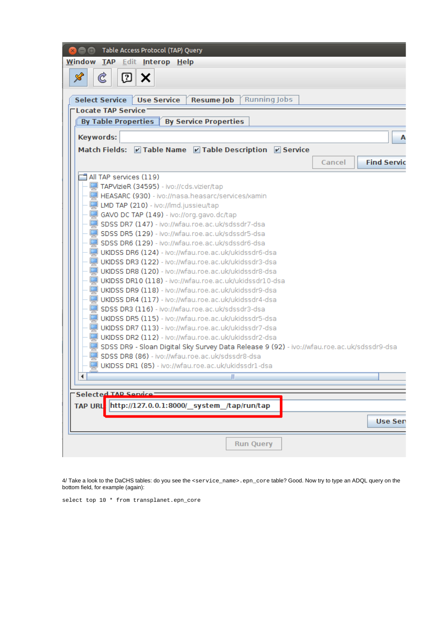| nable Access Protocol (TAP) Query                                                          |                              |
|--------------------------------------------------------------------------------------------|------------------------------|
| Window TAP Edit Interop Help                                                               |                              |
| $\mathscr{L}$<br>$\mathfrak{C}$<br>© X                                                     |                              |
|                                                                                            |                              |
| Select Service Use Service<br><b>Resume Job</b>                                            | <b>Running Jobs</b>          |
| <b>Locate TAP Service</b>                                                                  |                              |
| <b>By Service Properties</b><br><b>By Table Properties</b>                                 |                              |
| Keywords:                                                                                  | A                            |
| Match Fields: Z Table Name Z Table Description Z Service                                   |                              |
|                                                                                            | <b>Find Servic</b><br>Cancel |
| All TAP services (119)                                                                     |                              |
| TAPVizieR (34595) - ivo://cds.vizier/tap                                                   |                              |
| HEASARC (930) - ivo://nasa.heasarc/services/xamin                                          |                              |
| LMD TAP (210) - ivo://lmd.jussieu/tap                                                      |                              |
| GAVO DC TAP (149) - ivo://org.gavo.dc/tap                                                  |                              |
| SDSS DR7 (147) - ivo://wfau.roe.ac.uk/sdssdr7-dsa                                          |                              |
| SDSS DR5 (129) - ivo://wfau.roe.ac.uk/sdssdr5-dsa                                          |                              |
| SDSS DR6 (129) - ivo://wfau.roe.ac.uk/sdssdr6-dsa                                          |                              |
| UKIDSS DR6 (124) - ivo://wfau.roe.ac.uk/ukidssdr6-dsa                                      |                              |
| UKIDSS DR3 (122) - ivo://wfau.roe.ac.uk/ukidssdr3-dsa                                      |                              |
| UKIDSS DR8 (120) - ivo://wfau.roe.ac.uk/ukidssdr8-dsa                                      |                              |
| UKIDSS DR10 (118) - ivo://wfau.roe.ac.uk/ukidssdr10-dsa                                    |                              |
| UKIDSS DR9 (118) - ivo://wfau.roe.ac.uk/ukidssdr9-dsa                                      |                              |
| UKIDSS DR4 (117) - ivo://wfau.roe.ac.uk/ukidssdr4-dsa                                      |                              |
| SDSS DR3 (116) - ivo://wfau.roe.ac.uk/sdssdr3-dsa                                          |                              |
| UKIDSS DR5 (115) - ivo://wfau.roe.ac.uk/ukidssdr5-dsa                                      |                              |
| UKIDSS DR7 (113) - ivo://wfau.roe.ac.uk/ukidssdr7-dsa                                      |                              |
| UKIDSS DR2 (112) - ivo://wfau.roe.ac.uk/ukidssdr2-dsa                                      |                              |
| SDSS DR9 - Sloan Digital Sky Survey Data Release 9 (92) - ivo://wfau.roe.ac.uk/sdssdr9-dsa |                              |
| SDSS DR8 (86) - ivo://wfau.roe.ac.uk/sdssdr8-dsa                                           |                              |
| UKIDSS DR1 (85) - ivo://wfau.roe.ac.uk/ukidssdr1-dsa                                       |                              |
|                                                                                            |                              |
| Ш                                                                                          |                              |
| Selected TAD Service                                                                       |                              |
| http://127.0.0.1:8000/ system /tap/run/tap<br><b>TAP URL</b>                               |                              |
|                                                                                            |                              |
|                                                                                            | <b>Use Sen</b>               |
|                                                                                            |                              |
| <b>Run Query</b>                                                                           |                              |
|                                                                                            |                              |
|                                                                                            |                              |

4/ Take a look to the DaCHS tables: do you see the <service\_name>.epn\_core table? Good. Now try to type an ADQL query on the bottom field, for example (again):

select top 10 \* from transplanet.epn\_core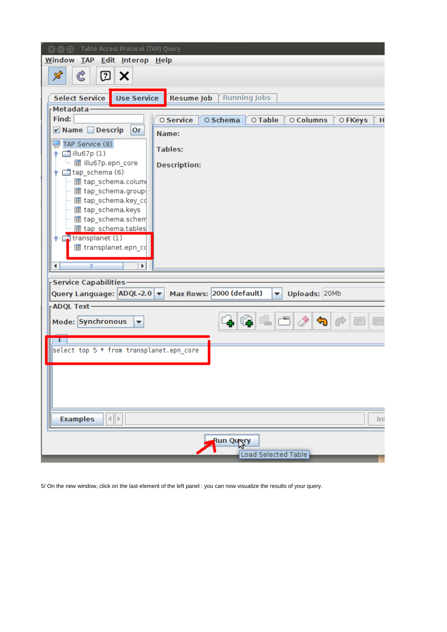| Table Access Protocol (TAP) Query<br>800                                                |
|-----------------------------------------------------------------------------------------|
| Window TAP Edit Interop Help                                                            |
| Ċ<br>⑦<br>$\mathscr{S}$<br>х                                                            |
|                                                                                         |
| <b>Use Service</b><br><b>Select Service</b><br><b>Resume Job</b><br><b>Running Jobs</b> |
| <b>Metadata</b>                                                                         |
| Find:<br>O Service<br>O Schema<br>O Table<br>O Columns<br>O FKeys<br>H                  |
| <b>Ø</b> Name <b>Descrip</b><br><b>Or</b><br>Name:                                      |
| TAP Service (8)<br><b>Tables:</b>                                                       |
| 1 illu67p (1)                                                                           |
| ■ illu67p.epn_core<br><b>Description:</b><br>tap_schema (6)                             |
| ⊞ tap_schema.colum                                                                      |
| tap_schema.group                                                                        |
| <b>⊞</b> tap_schema.key_cd                                                              |
| <b>⊞</b> tap_schema.keys<br>⊞ tap_schema.schem                                          |
| 田 tap schema.tables                                                                     |
| transplanet (1)                                                                         |
| transplanet.epn_cd                                                                      |
| Ш<br>Þ.<br>∢                                                                            |
| aanannannannan                                                                          |
| <b>Service Capabilities</b>                                                             |
| Query Language: ADQL-2.0<br>Max Rows: 2000 (default)<br>Uploads: 20Mb<br>▼              |
| <b>ADQL Text</b>                                                                        |
| Mode: Synchronous<br><b>COLS</b><br>▼                                                   |
|                                                                                         |
| select top 5 * from transplanet.epn_core                                                |
|                                                                                         |
|                                                                                         |
|                                                                                         |
|                                                                                         |
|                                                                                         |
| 4∥≯<br><b>Examples</b><br>Inf                                                           |
|                                                                                         |
| Run Query                                                                               |
| Load Selected Table                                                                     |

5/ On the new window, click on the last element of the left panel : you can now visualize the results of your query.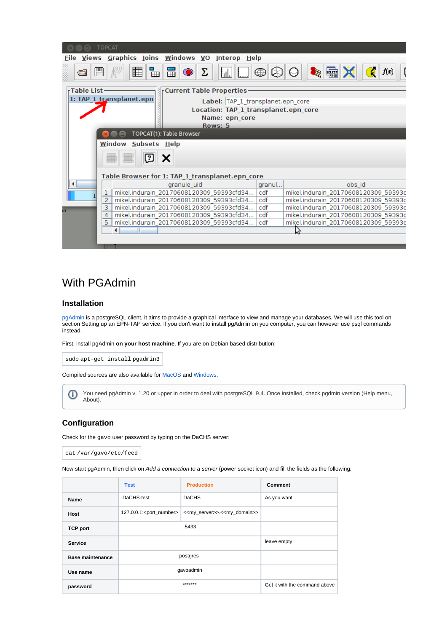|                                                             | <b>TOPCAT</b>                                      |                                                               |        |                                      |  |  |  |
|-------------------------------------------------------------|----------------------------------------------------|---------------------------------------------------------------|--------|--------------------------------------|--|--|--|
| Views Graphics Joins Windows VO Interop Help<br><b>File</b> |                                                    |                                                               |        |                                      |  |  |  |
| G                                                           | 圍<br>畾<br>靈<br>ъ<br>⊞<br>Σ<br>⋐<br>$f(\mathbf{x})$ |                                                               |        |                                      |  |  |  |
|                                                             | - Table List -<br><b>Current Table Properties-</b> |                                                               |        |                                      |  |  |  |
|                                                             |                                                    | 1: TAP_1_transplanet.epn<br>Label: TAP 1 transplanet.epn core |        |                                      |  |  |  |
|                                                             |                                                    |                                                               |        |                                      |  |  |  |
|                                                             |                                                    | Location: TAP_1_transplanet.epn_core<br>Name: epn core        |        |                                      |  |  |  |
|                                                             |                                                    | Rows: 5                                                       |        |                                      |  |  |  |
|                                                             |                                                    | TOPCAT(1): Table Browser                                      |        |                                      |  |  |  |
|                                                             |                                                    |                                                               |        |                                      |  |  |  |
|                                                             |                                                    | Window Subsets Help                                           |        |                                      |  |  |  |
|                                                             |                                                    | [?]                                                           |        |                                      |  |  |  |
|                                                             |                                                    |                                                               |        |                                      |  |  |  |
|                                                             |                                                    | Table Browser for 1: TAP_1_transplanet.epn_core               |        |                                      |  |  |  |
| ◀                                                           |                                                    | granule uid                                                   | granul | obs id                               |  |  |  |
|                                                             |                                                    | mikel.indurain 20170608120309 59393cfd34                      | cdf    | mikel.indurain 20170608120309 59393c |  |  |  |
|                                                             | 2                                                  | mikel.indurain 20170608120309 59393cfd34                      | cdf    | mikel.indurain 20170608120309 59393c |  |  |  |
|                                                             | з                                                  | mikel.indurain 20170608120309 59393cfd34                      | cdf    | mikel.indurain 20170608120309 59393c |  |  |  |
|                                                             | 4                                                  | mikel.indurain 20170608120309 59393cfd34                      | cdf    | mikel.indurain 20170608120309 59393c |  |  |  |
|                                                             | 5                                                  | mikel.indurain 20170608120309 59393cfd34                      | cdf    | mikel.indurain 20170608120309 59393c |  |  |  |
|                                                             |                                                    | Ш                                                             |        |                                      |  |  |  |
|                                                             |                                                    |                                                               |        |                                      |  |  |  |
|                                                             |                                                    |                                                               |        |                                      |  |  |  |

### <span id="page-5-0"></span>With PGAdmin

#### **Installation**

[pgAdmin](http://www.pgadmin.org/) is a postgreSQL client, it aims to provide a graphical interface to view and manage your databases. We will use this tool on section Setting up an EPN-TAP service. If you don't want to install pgAdmin on you computer, you can however use psql commands instead.

First, install pgAdmin **on your host machine**. If you are on Debian based distribution:

sudo apt-get install pgadmin3

Compiled sources are also available for [MacOS](http://www.pgadmin.org/download/macosx.php) and [Windows](http://www.pgadmin.org/download/windows.php).

You need pgAdmin v. 1.20 or upper in order to deal with postgreSQL 9.4. Once installed, check pgdmin version (Help menu, ⊕ About).

#### **Configuration**

Check for the gavo user password by typing on the DaCHS server:

cat /var/gavo/etc/feed

Now start pgAdmin, then click on Add a connection to a server (power socket icon) and fill the fields as the following:

|                         | <b>Test</b>                            | <b>Production</b>                                             | Comment     |
|-------------------------|----------------------------------------|---------------------------------------------------------------|-------------|
| Name                    | DaCHS-test                             | <b>DaCHS</b>                                                  | As you want |
| <b>Host</b>             | 127.0.0.1: <port_number></port_number> | < <my_server>&gt;.&lt;<my_domain>&gt;</my_domain></my_server> |             |
| <b>TCP port</b>         |                                        |                                                               |             |
| <b>Service</b>          |                                        | leave empty                                                   |             |
| <b>Base maintenance</b> | postgres                               |                                                               |             |
| Use name                | qavoadmin                              |                                                               |             |
| password                |                                        | Get it with the command above                                 |             |